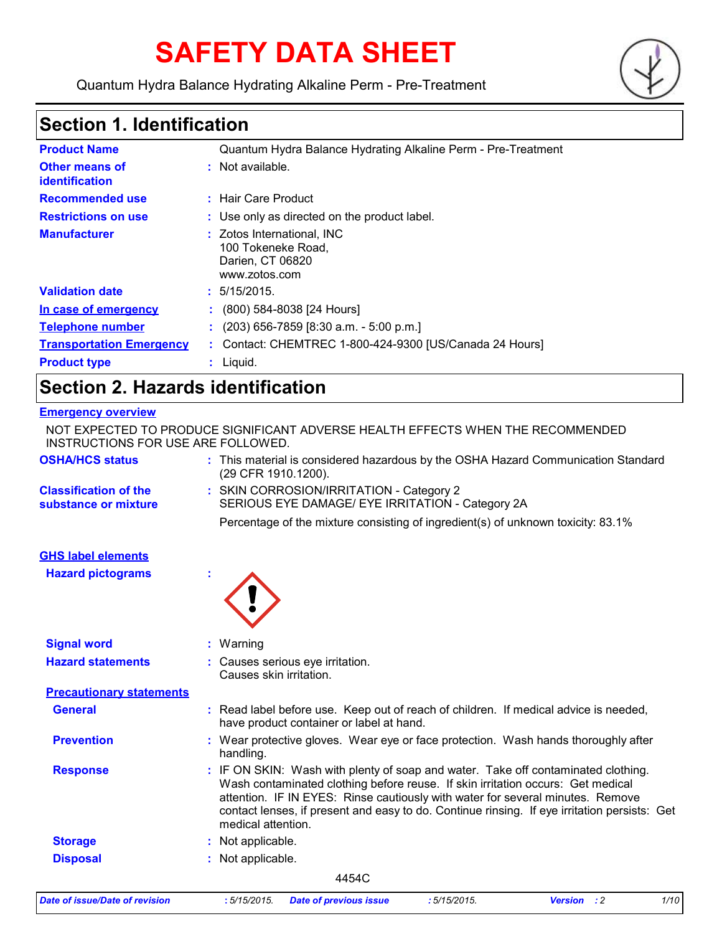# **SAFETY DATA SHEET**

Quantum Hydra Balance Hydrating Alkaline Perm - Pre-Treatment



# **Section 1. Identification**

| <b>Product Name</b>                     | Quantum Hydra Balance Hydrating Alkaline Perm - Pre-Treatment                         |
|-----------------------------------------|---------------------------------------------------------------------------------------|
| <b>Other means of</b><br>identification | $:$ Not available.                                                                    |
| <b>Recommended use</b>                  | : Hair Care Product                                                                   |
| <b>Restrictions on use</b>              | : Use only as directed on the product label.                                          |
| <b>Manufacturer</b>                     | : Zotos International, INC<br>100 Tokeneke Road,<br>Darien, CT 06820<br>www.zotos.com |
| <b>Validation date</b>                  | : 5/15/2015.                                                                          |
| In case of emergency                    | : (800) 584-8038 [24 Hours]                                                           |
| <b>Telephone number</b>                 | $(203)$ 656-7859 [8:30 a.m. - 5:00 p.m.]                                              |
| <b>Transportation Emergency</b>         | : Contact: CHEMTREC 1-800-424-9300 [US/Canada 24 Hours]                               |
| <b>Product type</b>                     | $:$ Liquid.                                                                           |

# **Section 2. Hazards identification**

#### **Emergency overview**

| <b>Date of issue/Date of revision</b>                                                                                 | :5/15/2015.        | <b>Date of previous issue</b>                                                                                                                                                                                                                                                                                                                          | :5/15/2015. | <b>Version</b> : 2 | 1/10 |
|-----------------------------------------------------------------------------------------------------------------------|--------------------|--------------------------------------------------------------------------------------------------------------------------------------------------------------------------------------------------------------------------------------------------------------------------------------------------------------------------------------------------------|-------------|--------------------|------|
|                                                                                                                       |                    | 4454C                                                                                                                                                                                                                                                                                                                                                  |             |                    |      |
| <b>Disposal</b>                                                                                                       | : Not applicable.  |                                                                                                                                                                                                                                                                                                                                                        |             |                    |      |
| <b>Storage</b>                                                                                                        | : Not applicable.  |                                                                                                                                                                                                                                                                                                                                                        |             |                    |      |
| <b>Response</b>                                                                                                       | medical attention. | : IF ON SKIN: Wash with plenty of soap and water. Take off contaminated clothing.<br>Wash contaminated clothing before reuse. If skin irritation occurs: Get medical<br>attention. IF IN EYES: Rinse cautiously with water for several minutes. Remove<br>contact lenses, if present and easy to do. Continue rinsing. If eye irritation persists: Get |             |                    |      |
| <b>Prevention</b>                                                                                                     | handling.          | : Wear protective gloves. Wear eye or face protection. Wash hands thoroughly after                                                                                                                                                                                                                                                                     |             |                    |      |
| <b>General</b>                                                                                                        |                    | : Read label before use. Keep out of reach of children. If medical advice is needed,<br>have product container or label at hand.                                                                                                                                                                                                                       |             |                    |      |
| <b>Precautionary statements</b>                                                                                       |                    |                                                                                                                                                                                                                                                                                                                                                        |             |                    |      |
| <b>Hazard statements</b>                                                                                              |                    | : Causes serious eye irritation.<br>Causes skin irritation.                                                                                                                                                                                                                                                                                            |             |                    |      |
| <b>Signal word</b>                                                                                                    | : Warning          |                                                                                                                                                                                                                                                                                                                                                        |             |                    |      |
| <b>GHS label elements</b><br><b>Hazard pictograms</b>                                                                 |                    |                                                                                                                                                                                                                                                                                                                                                        |             |                    |      |
|                                                                                                                       |                    | Percentage of the mixture consisting of ingredient(s) of unknown toxicity: 83.1%                                                                                                                                                                                                                                                                       |             |                    |      |
| <b>Classification of the</b><br>substance or mixture                                                                  |                    | : SKIN CORROSION/IRRITATION - Category 2<br>SERIOUS EYE DAMAGE/ EYE IRRITATION - Category 2A                                                                                                                                                                                                                                                           |             |                    |      |
| <b>OSHA/HCS status</b>                                                                                                |                    | : This material is considered hazardous by the OSHA Hazard Communication Standard<br>(29 CFR 1910.1200).                                                                                                                                                                                                                                               |             |                    |      |
| NOT EXPECTED TO PRODUCE SIGNIFICANT ADVERSE HEALTH EFFECTS WHEN THE RECOMMENDED<br>INSTRUCTIONS FOR USE ARE FOLLOWED. |                    |                                                                                                                                                                                                                                                                                                                                                        |             |                    |      |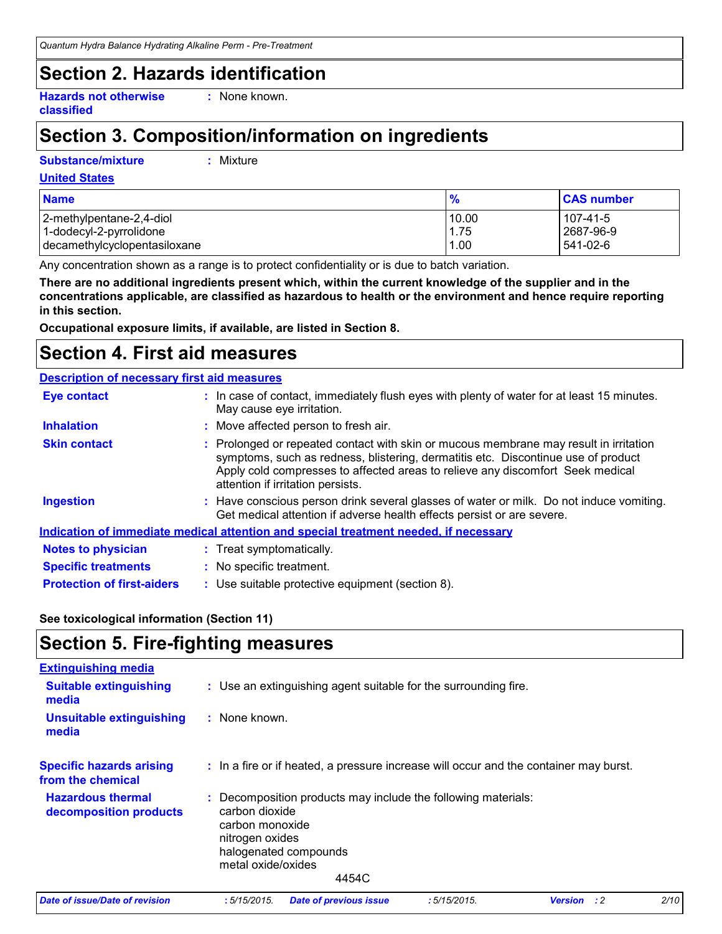### **Section 2. Hazards identification**

**Hazards not otherwise classified**

**:** None known.

# **Section 3. Composition/information on ingredients**

#### **Substance/mixture :**

Mixture

#### **United States**

| <b>Name</b>                  | $\frac{9}{6}$ | <b>CAS number</b> |
|------------------------------|---------------|-------------------|
| 2-methylpentane-2,4-diol     | 10.00         | 107-41-5          |
| 1-dodecyl-2-pyrrolidone      | 1.75          | 2687-96-9         |
| decamethylcyclopentasiloxane | 1.00          | 541-02-6          |

Any concentration shown as a range is to protect confidentiality or is due to batch variation.

**There are no additional ingredients present which, within the current knowledge of the supplier and in the concentrations applicable, are classified as hazardous to health or the environment and hence require reporting in this section.**

**Occupational exposure limits, if available, are listed in Section 8.**

# **Section 4. First aid measures**

#### **Description of necessary first aid measures**

| <b>Eye contact</b>                | : In case of contact, immediately flush eyes with plenty of water for at least 15 minutes.<br>May cause eye irritation.                                                                                                                                                                           |
|-----------------------------------|---------------------------------------------------------------------------------------------------------------------------------------------------------------------------------------------------------------------------------------------------------------------------------------------------|
| <b>Inhalation</b>                 | : Move affected person to fresh air.                                                                                                                                                                                                                                                              |
| <b>Skin contact</b>               | : Prolonged or repeated contact with skin or mucous membrane may result in irritation<br>symptoms, such as redness, blistering, dermatitis etc. Discontinue use of product<br>Apply cold compresses to affected areas to relieve any discomfort Seek medical<br>attention if irritation persists. |
| <b>Ingestion</b>                  | : Have conscious person drink several glasses of water or milk. Do not induce vomiting.<br>Get medical attention if adverse health effects persist or are severe.                                                                                                                                 |
|                                   | Indication of immediate medical attention and special treatment needed, if necessary                                                                                                                                                                                                              |
| <b>Notes to physician</b>         | : Treat symptomatically.                                                                                                                                                                                                                                                                          |
| <b>Specific treatments</b>        | : No specific treatment.                                                                                                                                                                                                                                                                          |
| <b>Protection of first-aiders</b> | : Use suitable protective equipment (section 8).                                                                                                                                                                                                                                                  |

#### **See toxicological information (Section 11)**

### **Section 5. Fire-fighting measures**

| <b>Extinguishing media</b>                           |                                                                                                                                                                               |
|------------------------------------------------------|-------------------------------------------------------------------------------------------------------------------------------------------------------------------------------|
| <b>Suitable extinguishing</b><br>media               | : Use an extinguishing agent suitable for the surrounding fire.                                                                                                               |
| <b>Unsuitable extinguishing</b><br>media             | : None known.                                                                                                                                                                 |
| <b>Specific hazards arising</b><br>from the chemical | : In a fire or if heated, a pressure increase will occur and the container may burst.                                                                                         |
| <b>Hazardous thermal</b><br>decomposition products   | : Decomposition products may include the following materials:<br>carbon dioxide<br>carbon monoxide<br>nitrogen oxides<br>halogenated compounds<br>metal oxide/oxides<br>4454C |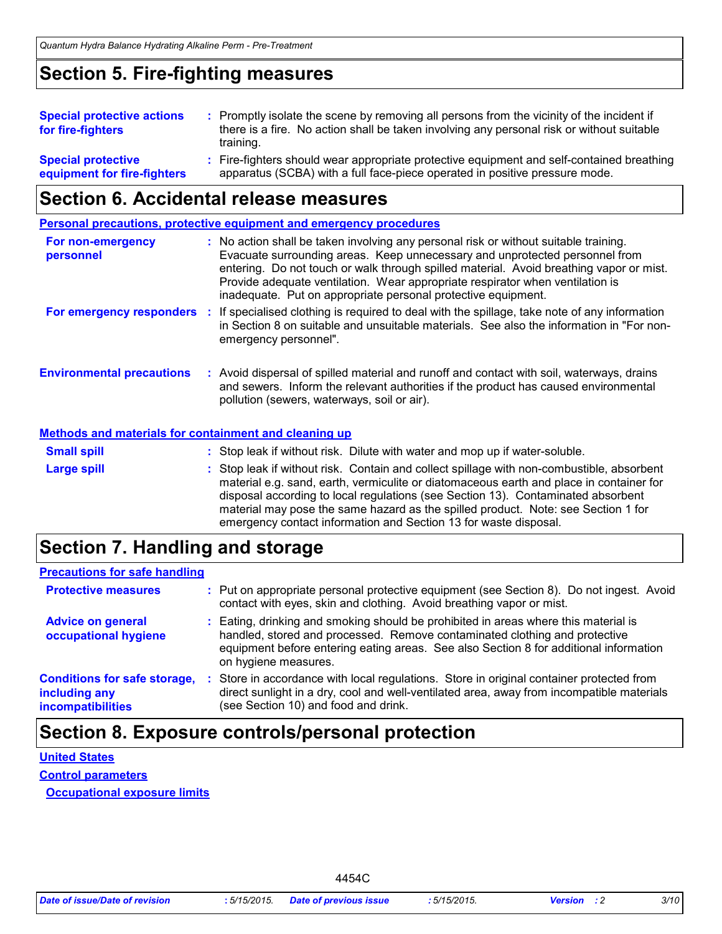### **Section 5. Fire-fighting measures**

| <b>Special protective actions</b> | : Promptly isolate the scene by removing all persons from the vicinity of the incident if |
|-----------------------------------|-------------------------------------------------------------------------------------------|
| for fire-fighters                 | there is a fire. No action shall be taken involving any personal risk or without suitable |
|                                   | training.                                                                                 |
| <b>Special protective</b>         | : Fire-fighters should wear appropriate protective equipment and self-contained breathing |
| equipment for fire-fighters       | apparatus (SCBA) with a full face-piece operated in positive pressure mode.               |

### **Section 6. Accidental release measures**

**Personal precautions, protective equipment and emergency procedures**

| For non-emergency<br>personnel                               | : No action shall be taken involving any personal risk or without suitable training.<br>Evacuate surrounding areas. Keep unnecessary and unprotected personnel from<br>entering. Do not touch or walk through spilled material. Avoid breathing vapor or mist.<br>Provide adequate ventilation. Wear appropriate respirator when ventilation is<br>inadequate. Put on appropriate personal protective equipment. |
|--------------------------------------------------------------|------------------------------------------------------------------------------------------------------------------------------------------------------------------------------------------------------------------------------------------------------------------------------------------------------------------------------------------------------------------------------------------------------------------|
| For emergency responders :                                   | If specialised clothing is required to deal with the spillage, take note of any information<br>in Section 8 on suitable and unsuitable materials. See also the information in "For non-<br>emergency personnel".                                                                                                                                                                                                 |
| <b>Environmental precautions</b>                             | : Avoid dispersal of spilled material and runoff and contact with soil, waterways, drains<br>and sewers. Inform the relevant authorities if the product has caused environmental<br>pollution (sewers, waterways, soil or air).                                                                                                                                                                                  |
| <b>Methods and materials for containment and cleaning up</b> |                                                                                                                                                                                                                                                                                                                                                                                                                  |
| <b>Small spill</b>                                           | : Stop leak if without risk. Dilute with water and mop up if water-soluble.                                                                                                                                                                                                                                                                                                                                      |
| <b>Large spill</b>                                           | : Stop leak if without risk. Contain and collect spillage with non-combustible, absorbent<br>material e.g. sand, earth, vermiculite or diatomaceous earth and place in container for<br>disposal according to local regulations (see Section 13). Contaminated absorbent                                                                                                                                         |

### **Section 7. Handling and storage**

#### **Precautions for safe handling**

| <b>Protective measures</b>                                                |    | : Put on appropriate personal protective equipment (see Section 8). Do not ingest. Avoid<br>contact with eyes, skin and clothing. Avoid breathing vapor or mist.                                                                                                                   |
|---------------------------------------------------------------------------|----|------------------------------------------------------------------------------------------------------------------------------------------------------------------------------------------------------------------------------------------------------------------------------------|
| <b>Advice on general</b><br>occupational hygiene                          |    | : Eating, drinking and smoking should be prohibited in areas where this material is<br>handled, stored and processed. Remove contaminated clothing and protective<br>equipment before entering eating areas. See also Section 8 for additional information<br>on hygiene measures. |
| <b>Conditions for safe storage,</b><br>including any<br>incompatibilities | ÷. | Store in accordance with local regulations. Store in original container protected from<br>direct sunlight in a dry, cool and well-ventilated area, away from incompatible materials<br>(see Section 10) and food and drink.                                                        |

emergency contact information and Section 13 for waste disposal.

material may pose the same hazard as the spilled product. Note: see Section 1 for

### **Section 8. Exposure controls/personal protection**

# **United States**

**Control parameters Occupational exposure limits**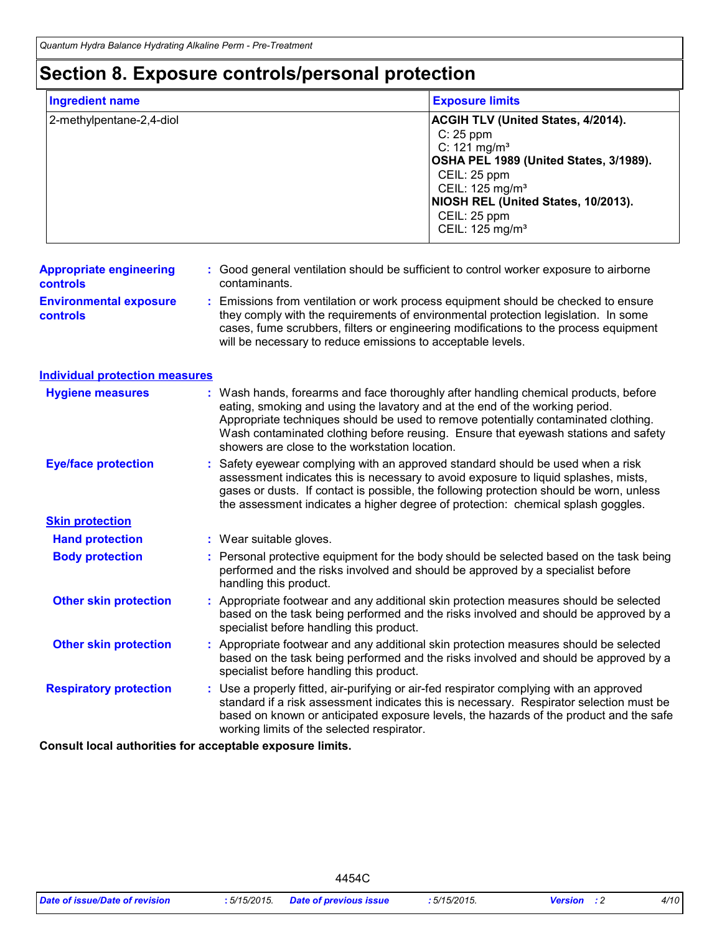# **Section 8. Exposure controls/personal protection**

| <b>Ingredient name</b>                     | <b>Exposure limits</b>                                                                                                                                                                                                                                                                                                                                                                            |
|--------------------------------------------|---------------------------------------------------------------------------------------------------------------------------------------------------------------------------------------------------------------------------------------------------------------------------------------------------------------------------------------------------------------------------------------------------|
| 2-methylpentane-2,4-diol                   | ACGIH TLV (United States, 4/2014).<br>C: 25 ppm<br>$C: 121 \text{ mg/m}^3$<br>OSHA PEL 1989 (United States, 3/1989).<br>CEIL: 25 ppm<br>CEIL: 125 mg/m <sup>3</sup><br>NIOSH REL (United States, 10/2013).<br>CEIL: 25 ppm<br>CEIL: 125 mg/m <sup>3</sup>                                                                                                                                         |
| <b>Appropriate engineering</b><br>controls | : Good general ventilation should be sufficient to control worker exposure to airborne<br>contaminants.                                                                                                                                                                                                                                                                                           |
| <b>Environmental exposure</b><br>controls  | Emissions from ventilation or work process equipment should be checked to ensure<br>they comply with the requirements of environmental protection legislation. In some<br>cases, fume scrubbers, filters or engineering modifications to the process equipment<br>will be necessary to reduce emissions to acceptable levels.                                                                     |
| <b>Individual protection measures</b>      |                                                                                                                                                                                                                                                                                                                                                                                                   |
| <b>Hygiene measures</b>                    | : Wash hands, forearms and face thoroughly after handling chemical products, before<br>eating, smoking and using the lavatory and at the end of the working period.<br>Appropriate techniques should be used to remove potentially contaminated clothing.<br>Wash contaminated clothing before reusing. Ensure that eyewash stations and safety<br>showers are close to the workstation location. |
| <b>Eye/face protection</b>                 | Safety eyewear complying with an approved standard should be used when a risk<br>assessment indicates this is necessary to avoid exposure to liquid splashes, mists,<br>gases or dusts. If contact is possible, the following protection should be worn, unless<br>the assessment indicates a higher degree of protection: chemical splash goggles.                                               |
| <b>Skin protection</b>                     |                                                                                                                                                                                                                                                                                                                                                                                                   |
| <b>Hand protection</b>                     | : Wear suitable gloves.                                                                                                                                                                                                                                                                                                                                                                           |
| <b>Body protection</b>                     | Personal protective equipment for the body should be selected based on the task being<br>performed and the risks involved and should be approved by a specialist before<br>handling this product.                                                                                                                                                                                                 |
| <b>Other skin protection</b>               | : Appropriate footwear and any additional skin protection measures should be selected<br>based on the task being performed and the risks involved and should be approved by a<br>specialist before handling this product.                                                                                                                                                                         |
| <b>Other skin protection</b>               | Appropriate footwear and any additional skin protection measures should be selected<br>based on the task being performed and the risks involved and should be approved by a<br>specialist before handling this product.                                                                                                                                                                           |
| <b>Respiratory protection</b>              | Use a properly fitted, air-purifying or air-fed respirator complying with an approved<br>standard if a risk assessment indicates this is necessary. Respirator selection must be<br>based on known or anticipated exposure levels, the hazards of the product and the safe<br>working limits of the selected respirator.                                                                          |

**Consult local authorities for acceptable exposure limits.**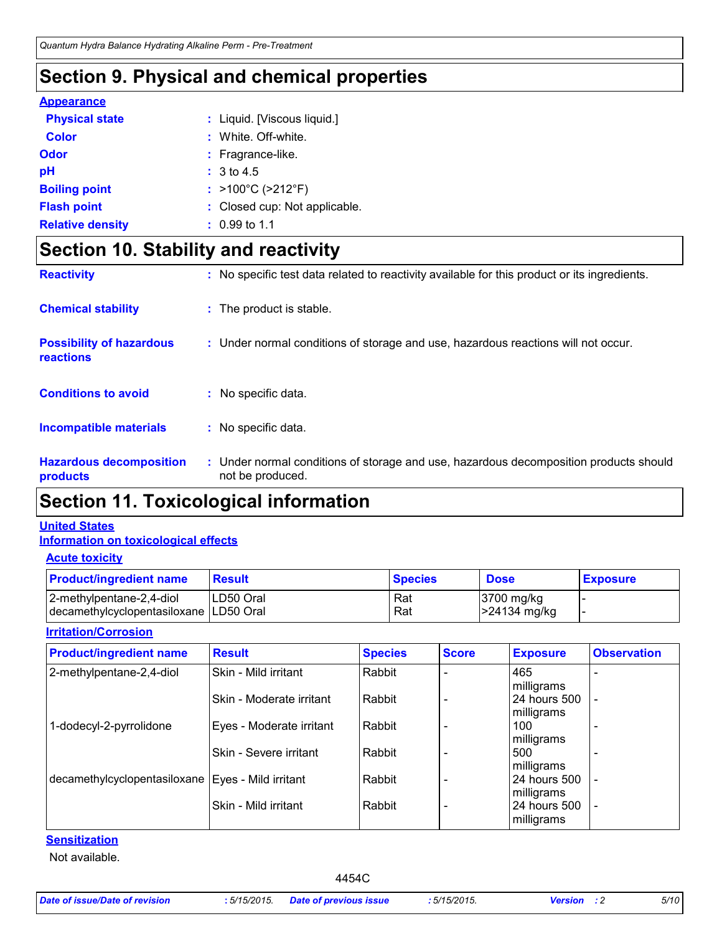# **Section 9. Physical and chemical properties**

#### **Appearance**

| <b>Physical state</b>   | : Liquid. [Viscous liquid.]            |
|-------------------------|----------------------------------------|
| <b>Color</b>            | : White, Off-white.                    |
| Odor                    | : Fragrance-like.                      |
| рH                      | : 3 to 4.5                             |
| <b>Boiling point</b>    | : $>100^{\circ}$ C ( $>212^{\circ}$ F) |
| <b>Flash point</b>      | : Closed cup: Not applicable.          |
| <b>Relative density</b> | $: 0.99$ to 1.1                        |

# **Section 10. Stability and reactivity**

| <b>Chemical stability</b>                    | : The product is stable.                                                                                  |
|----------------------------------------------|-----------------------------------------------------------------------------------------------------------|
| <b>Possibility of hazardous</b><br>reactions | : Under normal conditions of storage and use, hazardous reactions will not occur.                         |
| <b>Conditions to avoid</b>                   | : No specific data.                                                                                       |
| Incompatible materials                       | : No specific data.                                                                                       |
| <b>Hazardous decomposition</b><br>products   | : Under normal conditions of storage and use, hazardous decomposition products should<br>not be produced. |

### **Section 11. Toxicological information**

#### **Information on toxicological effects United States**

#### **Acute toxicity**

| <b>Product/ingredient name</b>                                       | <b>Result</b> | <b>Species</b> | <b>Dose</b>                | <b>Exposure</b> |
|----------------------------------------------------------------------|---------------|----------------|----------------------------|-----------------|
| 2-methylpentane-2,4-diol<br>decamethylcyclopentasiloxane   LD50 Oral | ILD50 Oral    | Rat<br>Rat     | 3700 mg/kg<br>-24134 mg/kg |                 |

#### **Irritation/Corrosion**

| <b>Product/ingredient name</b>                      | <b>Result</b>            | <b>Species</b> | <b>Score</b> | <b>Exposure</b>            | <b>Observation</b> |
|-----------------------------------------------------|--------------------------|----------------|--------------|----------------------------|--------------------|
| 2-methylpentane-2,4-diol                            | Skin - Mild irritant     | Rabbit         |              | 465<br>milligrams          |                    |
|                                                     | Skin - Moderate irritant | Rabbit         |              | 24 hours 500<br>milligrams |                    |
| 1-dodecyl-2-pyrrolidone                             | Eyes - Moderate irritant | Rabbit         |              | 100<br>milligrams          |                    |
|                                                     | Skin - Severe irritant   | Rabbit         |              | 500<br>milligrams          |                    |
| decamethylcyclopentasiloxane   Eyes - Mild irritant |                          | Rabbit         |              | 24 hours 500<br>milligrams |                    |
|                                                     | Skin - Mild irritant     | Rabbit         |              | 24 hours 500<br>milligrams |                    |

#### **Sensitization**

Not available.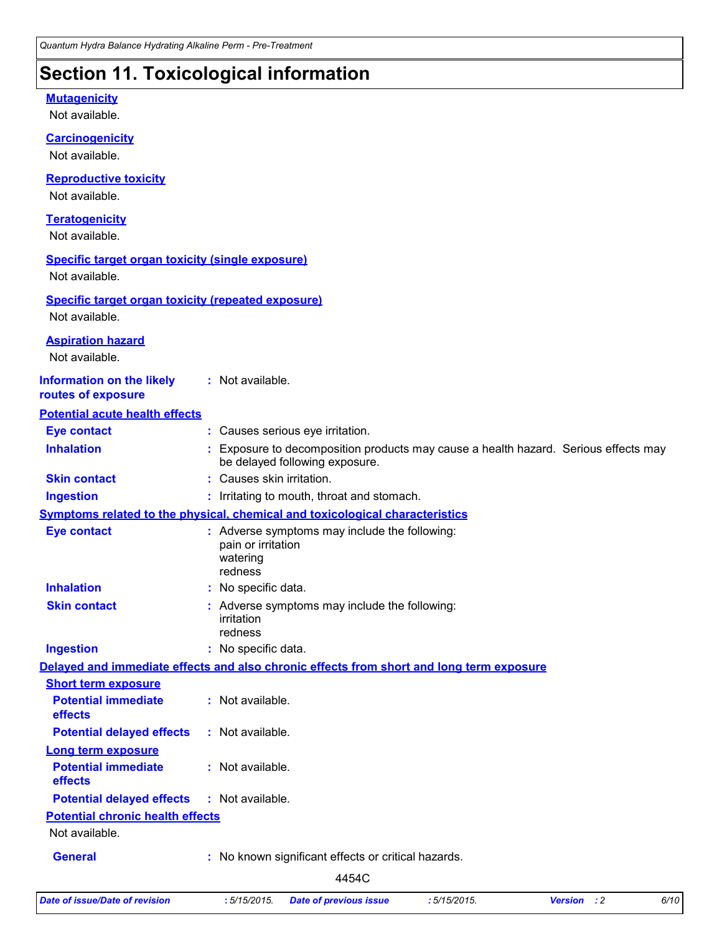# **Section 11. Toxicological information**

#### Not available. **Carcinogenicity** Not available. **Mutagenicity** Not available. **Teratogenicity** Not available. **Reproductive toxicity** Not available. **Information on the likely routes of exposure Inhalation 19.1 Exposure to decomposition products may cause a health hazard. Serious effects may** be delayed following exposure. **Ingestion :** Irritating to mouth, throat and stomach. **Skin contact :** Causes skin irritation. **Eye contact :** Causes serious eye irritation. **General :** No known significant effects or critical hazards. **Symptoms related to the physical, chemical and toxicological characteristics Skin contact Ingestion Inhalation :** No specific data. No specific data. **:** Adverse symptoms may include the following: **:** irritation redness **Eye contact :** Adverse symptoms may include the following: pain or irritation watering redness **Potential chronic health effects Delayed and immediate effects and also chronic effects from short and long term exposure Specific target organ toxicity (single exposure) Specific target organ toxicity (repeated exposure)** Not available. Not available. **Aspiration hazard** Not available. **:** Not available. **Potential acute health effects Potential immediate effects :** Not available. **Short term exposure Potential delayed effects :** Not available. **Potential immediate effects :** Not available. **Long term exposure Potential delayed effects :** Not available.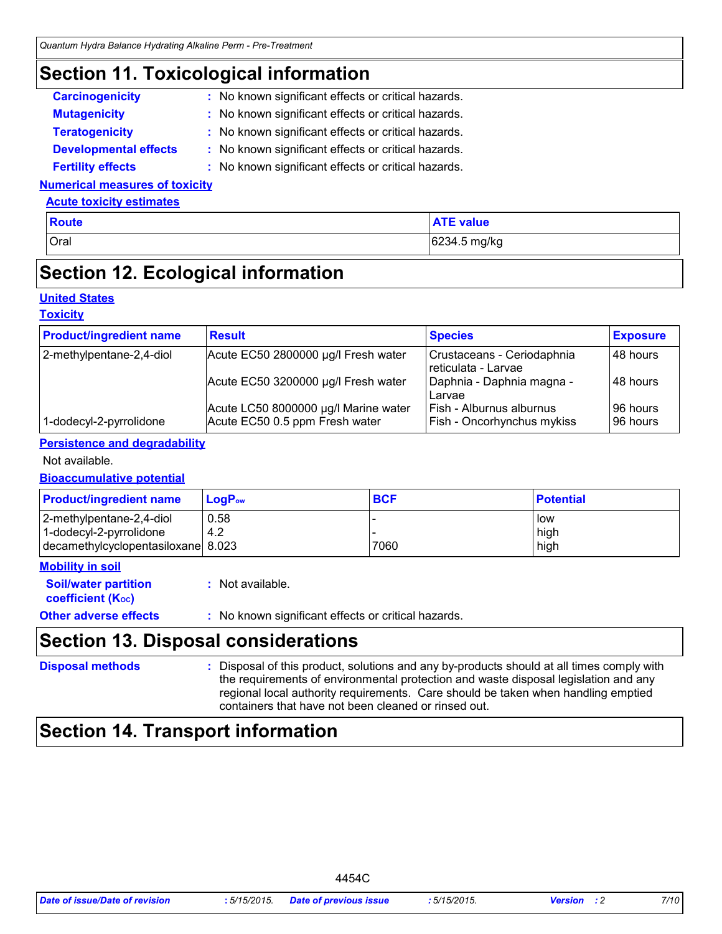### **Section 11. Toxicological information**

| <b>Carcinogenicity</b>       | : No known significant effects or critical hazards. |
|------------------------------|-----------------------------------------------------|
| <b>Mutagenicity</b>          | : No known significant effects or critical hazards. |
| <b>Teratogenicity</b>        | : No known significant effects or critical hazards. |
| <b>Developmental effects</b> | : No known significant effects or critical hazards. |
| <b>Fertility effects</b>     | : No known significant effects or critical hazards. |

#### **Numerical measures of toxicity**

#### **Acute toxicity estimates**

| Oral<br>6234.5 mg/kg | <b>Route</b> | <b>ATE value</b> |
|----------------------|--------------|------------------|
|                      |              |                  |

### **Section 12. Ecological information**

#### **United States**

#### **Toxicity**

| <b>Product/ingredient name</b> | <b>Result</b>                                                          | <b>Species</b>                                                       | <b>Exposure</b>       |
|--------------------------------|------------------------------------------------------------------------|----------------------------------------------------------------------|-----------------------|
| 2-methylpentane-2,4-diol       | Acute EC50 2800000 µg/l Fresh water                                    | Crustaceans - Ceriodaphnia<br>reticulata - Larvae                    | 148 hours             |
|                                | Acute EC50 3200000 µg/l Fresh water                                    | Daphnia - Daphnia magna -<br>l Larvae                                | 148 hours             |
| 1-dodecyl-2-pyrrolidone        | Acute LC50 8000000 µg/l Marine water<br>Acute EC50 0.5 ppm Fresh water | <b>Fish - Alburnus alburnus</b><br><b>Fish - Oncorhynchus mykiss</b> | 96 hours<br>196 hours |

#### **Persistence and degradability**

#### Not available.

#### **Bioaccumulative potential**

| <b>Product/ingredient name</b>                                                            | $LoaPow$    | <b>BCF</b> | <b>Potential</b>    |
|-------------------------------------------------------------------------------------------|-------------|------------|---------------------|
| 2-methylpentane-2,4-diol<br>1-dodecyl-2-pyrrolidone<br>decamethylcyclopentasiloxane 8.023 | 0.58<br>4.2 | 7060       | low<br>high<br>high |

#### **Mobility in soil**

| <b>Soil/water partition</b> | : Not available. |
|-----------------------------|------------------|
| <b>coefficient (Koc)</b>    |                  |
|                             |                  |

#### **Other adverse effects :** No known significant effects or critical hazards.

### **Section 13. Disposal considerations**

### **Disposal methods :**

Disposal of this product, solutions and any by-products should at all times comply with the requirements of environmental protection and waste disposal legislation and any regional local authority requirements. Care should be taken when handling emptied containers that have not been cleaned or rinsed out.

### **Section 14. Transport information**

| Date of issue/Date of revision | 5/15/2015. | <b>Date of previous issue</b> | :5/15/2015. | Version | 7/10 |
|--------------------------------|------------|-------------------------------|-------------|---------|------|
|--------------------------------|------------|-------------------------------|-------------|---------|------|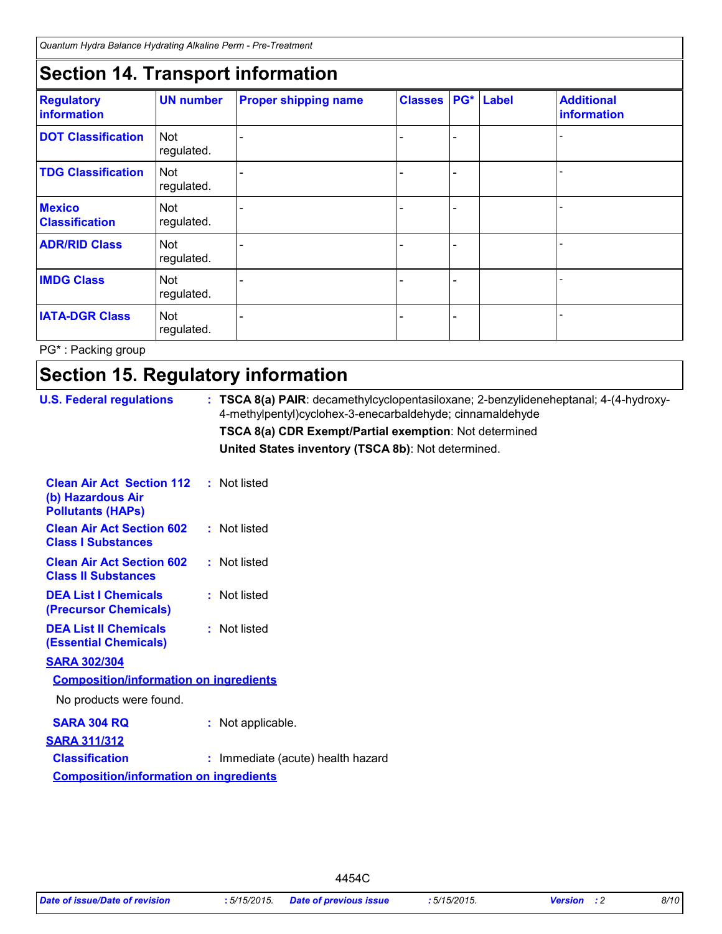*Quantum Hydra Balance Hydrating Alkaline Perm - Pre-Treatment*

### **Section 14. Transport information**

| <b>Regulatory</b><br>information       | <b>UN number</b>         | <b>Proper shipping name</b> | <b>Classes</b> | <b>PG*</b> Label | <b>Additional</b><br>information |
|----------------------------------------|--------------------------|-----------------------------|----------------|------------------|----------------------------------|
| <b>DOT Classification</b>              | <b>Not</b><br>regulated. |                             |                |                  |                                  |
| <b>TDG Classification</b>              | <b>Not</b><br>regulated. |                             |                |                  |                                  |
| <b>Mexico</b><br><b>Classification</b> | Not<br>regulated.        |                             |                |                  |                                  |
| <b>ADR/RID Class</b>                   | Not<br>regulated.        |                             |                |                  |                                  |
| <b>IMDG Class</b>                      | Not<br>regulated.        |                             |                |                  |                                  |
| <b>IATA-DGR Class</b>                  | <b>Not</b><br>regulated. |                             |                |                  |                                  |

PG\* : Packing group

# **Section 15. Regulatory information**

| <b>U.S. Federal regulations</b>                                                   | : TSCA 8(a) PAIR: decamethylcyclopentasiloxane; 2-benzylideneheptanal; 4-(4-hydroxy-<br>4-methylpentyl)cyclohex-3-enecarbaldehyde; cinnamaldehyde |
|-----------------------------------------------------------------------------------|---------------------------------------------------------------------------------------------------------------------------------------------------|
|                                                                                   | <b>TSCA 8(a) CDR Exempt/Partial exemption: Not determined</b>                                                                                     |
|                                                                                   | United States inventory (TSCA 8b): Not determined.                                                                                                |
| <b>Clean Air Act Section 112</b><br>(b) Hazardous Air<br><b>Pollutants (HAPs)</b> | : Not listed                                                                                                                                      |
| <b>Clean Air Act Section 602</b><br><b>Class I Substances</b>                     | : Not listed                                                                                                                                      |
| <b>Clean Air Act Section 602</b><br><b>Class II Substances</b>                    | : Not listed                                                                                                                                      |
| <b>DEA List I Chemicals</b><br>(Precursor Chemicals)                              | : Not listed                                                                                                                                      |
| <b>DEA List II Chemicals</b><br><b>(Essential Chemicals)</b>                      | : Not listed                                                                                                                                      |
| <b>SARA 302/304</b><br><b>Composition/information on ingredients</b>              |                                                                                                                                                   |
| No products were found.                                                           |                                                                                                                                                   |
| <b>SARA 304 RQ</b><br><b>SARA 311/312</b>                                         | : Not applicable.                                                                                                                                 |
| <b>Classification</b><br><b>Composition/information on ingredients</b>            | : Immediate (acute) health hazard                                                                                                                 |
|                                                                                   |                                                                                                                                                   |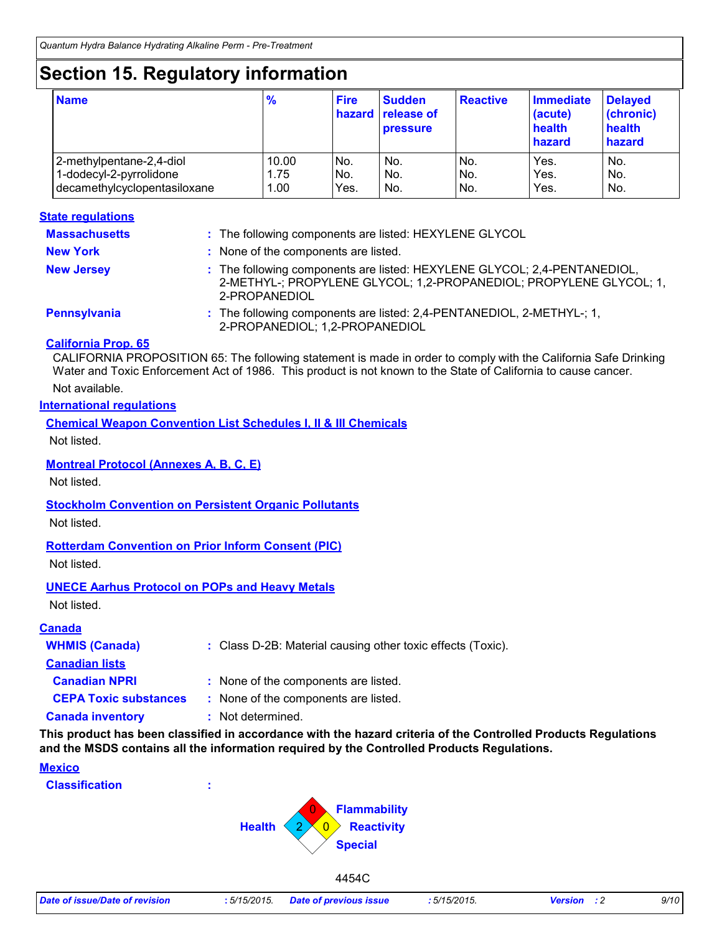# **Section 15. Regulatory information**

| <b>Name</b>                  | $\frac{9}{6}$ | <b>Fire</b> | <b>Sudden</b><br>hazard release of<br><b>pressure</b> | <b>Reactive</b> | <b>Immediate</b><br>(acute)<br>health<br>hazard | <b>Delayed</b><br>(chronic)<br>health<br>hazard |
|------------------------------|---------------|-------------|-------------------------------------------------------|-----------------|-------------------------------------------------|-------------------------------------------------|
| 2-methylpentane-2,4-diol     | 10.00         | No.         | No.                                                   | No.             | Yes.                                            | No.                                             |
| 1-dodecyl-2-pyrrolidone      | 1.75          | No.         | No.                                                   | No.             | Yes.                                            | No.                                             |
| decamethylcyclopentasiloxane | 1.00          | Yes.        | No.                                                   | No.             | Yes.                                            | No.                                             |

#### **State regulations**

| <b>Massachusetts</b> | : The following components are listed: HEXYLENE GLYCOL                                                                                                          |
|----------------------|-----------------------------------------------------------------------------------------------------------------------------------------------------------------|
| <b>New York</b>      | : None of the components are listed.                                                                                                                            |
| <b>New Jersey</b>    | : The following components are listed: HEXYLENE GLYCOL; 2,4-PENTANEDIOL,<br>2-METHYL-; PROPYLENE GLYCOL; 1,2-PROPANEDIOL; PROPYLENE GLYCOL; 1,<br>2-PROPANEDIOL |
| Pennsylvania         | : The following components are listed: 2,4-PENTANEDIOL, 2-METHYL-; 1,<br>2-PROPANEDIOL; 1,2-PROPANEDIOL                                                         |

#### **California Prop. 65**

CALIFORNIA PROPOSITION 65: The following statement is made in order to comply with the California Safe Drinking Water and Toxic Enforcement Act of 1986. This product is not known to the State of California to cause cancer.

#### Not available.

#### **International regulations**

**Chemical Weapon Convention List Schedules I, II & III Chemicals**

Not listed.

#### **Montreal Protocol (Annexes A, B, C, E)**

Not listed.

#### **Stockholm Convention on Persistent Organic Pollutants**

Not listed.

#### **Rotterdam Convention on Prior Inform Consent (PIC)**

Not listed.

#### **UNECE Aarhus Protocol on POPs and Heavy Metals**

Not listed.

#### **Canada**

| <b>WHMIS (Canada)</b>        | : Class D-2B: Material causing other toxic effects (Toxic). |  |
|------------------------------|-------------------------------------------------------------|--|
| <b>Canadian lists</b>        |                                                             |  |
| <b>Canadian NPRI</b>         | : None of the components are listed.                        |  |
| <b>CEPA Toxic substances</b> | : None of the components are listed.                        |  |
| <b>Canada inventory</b>      | : Not determined.                                           |  |

**This product has been classified in accordance with the hazard criteria of the Controlled Products Regulations and the MSDS contains all the information required by the Controlled Products Regulations.**

| <b>Mexico</b><br><b>Classification</b> | ÷<br>$\vert 0 \vert$                                           | Flammability<br>Reactivity |  |
|----------------------------------------|----------------------------------------------------------------|----------------------------|--|
|                                        | <b>Health</b><br>$\mathcal{D}$<br>$\overline{\mathbf{0}}$<br>∼ | <b>Special</b><br>4454C    |  |